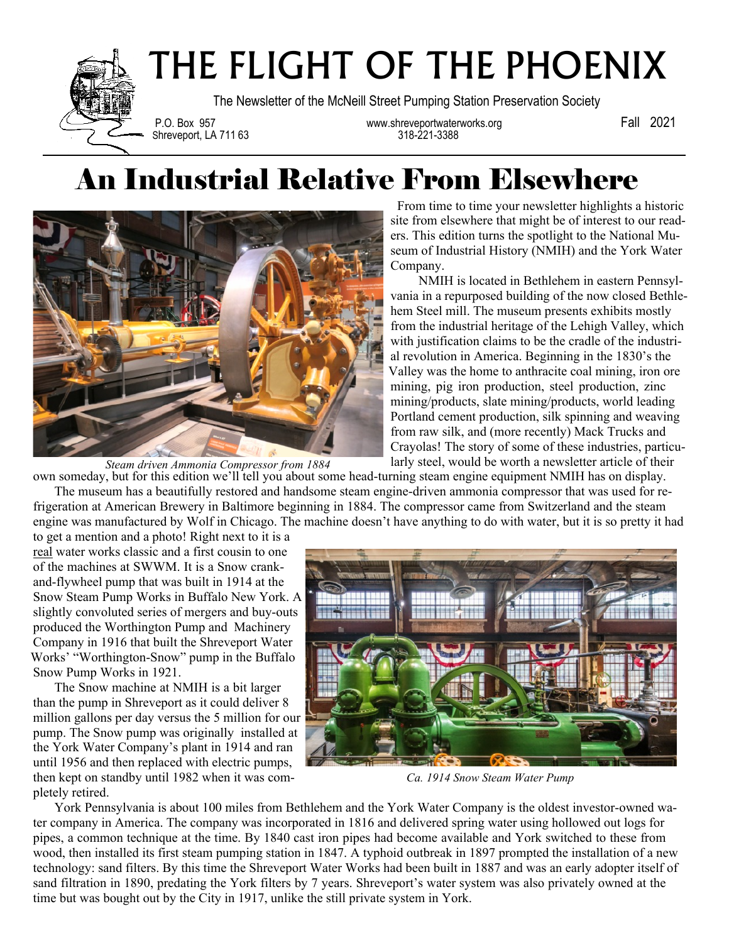

## THE FLIGHT OF THE PHOENIX

The Newsletter of the McNeill Street Pumping Station Preservation Society

Shreveport, LA 711 63

P.O. Box 957 www.shreveportwaterworks.org Fall 2021

## An Industrial Relative From Elsewhere



*Steam driven Ammonia Compressor from 1884*

From time to time your newsletter highlights a historic site from elsewhere that might be of interest to our readers. This edition turns the spotlight to the National Museum of Industrial History (NMIH) and the York Water Company.

 NMIH is located in Bethlehem in eastern Pennsylvania in a repurposed building of the now closed Bethlehem Steel mill. The museum presents exhibits mostly from the industrial heritage of the Lehigh Valley, which with justification claims to be the cradle of the industrial revolution in America. Beginning in the 1830's the Valley was the home to anthracite coal mining, iron ore mining, pig iron production, steel production, zinc mining/products, slate mining/products, world leading Portland cement production, silk spinning and weaving from raw silk, and (more recently) Mack Trucks and Crayolas! The story of some of these industries, particularly steel, would be worth a newsletter article of their

own someday, but for this edition we'll tell you about some head-turning steam engine equipment NMIH has on display. The museum has a beautifully restored and handsome steam engine-driven ammonia compressor that was used for refrigeration at American Brewery in Baltimore beginning in 1884. The compressor came from Switzerland and the steam engine was manufactured by Wolf in Chicago. The machine doesn't have anything to do with water, but it is so pretty it had

to get a mention and a photo! Right next to it is a real water works classic and a first cousin to one of the machines at SWWM. It is a Snow crankand-flywheel pump that was built in 1914 at the Snow Steam Pump Works in Buffalo New York. A slightly convoluted series of mergers and buy-outs produced the Worthington Pump and Machinery Company in 1916 that built the Shreveport Water Works' "Worthington-Snow" pump in the Buffalo Snow Pump Works in 1921.

 The Snow machine at NMIH is a bit larger than the pump in Shreveport as it could deliver 8 million gallons per day versus the 5 million for our pump. The Snow pump was originally installed at the York Water Company's plant in 1914 and ran until 1956 and then replaced with electric pumps, then kept on standby until 1982 when it was completely retired.



*Ca. 1914 Snow Steam Water Pump*

 York Pennsylvania is about 100 miles from Bethlehem and the York Water Company is the oldest investor-owned water company in America. The company was incorporated in 1816 and delivered spring water using hollowed out logs for pipes, a common technique at the time. By 1840 cast iron pipes had become available and York switched to these from wood, then installed its first steam pumping station in 1847. A typhoid outbreak in 1897 prompted the installation of a new technology: sand filters. By this time the Shreveport Water Works had been built in 1887 and was an early adopter itself of sand filtration in 1890, predating the York filters by 7 years. Shreveport's water system was also privately owned at the time but was bought out by the City in 1917, unlike the still private system in York.